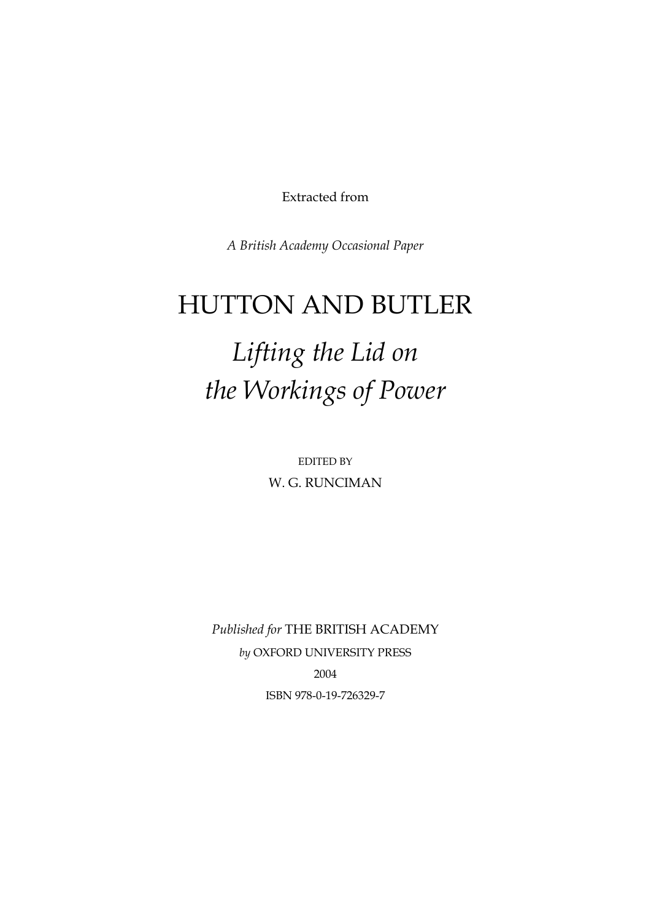Extracted from

*A British Academy Occasional Paper*

# HUTTON AND BUTLER

# *Lifting the Lid on the Workings of Power*

EDITED BY W. G. RUNCIMAN

*Published for* THE BRITISH ACADEMY *by* OXFORD UNIVERSITY PRESS 2004 ISBN 978-0-19-726329-7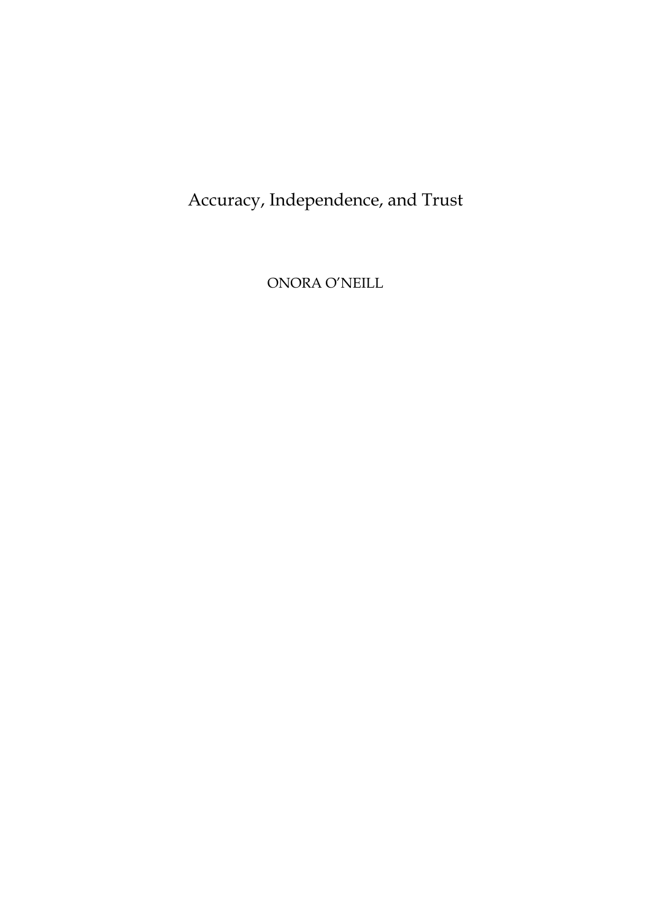Accuracy, Independence, and Trust

ONORA O'NEILL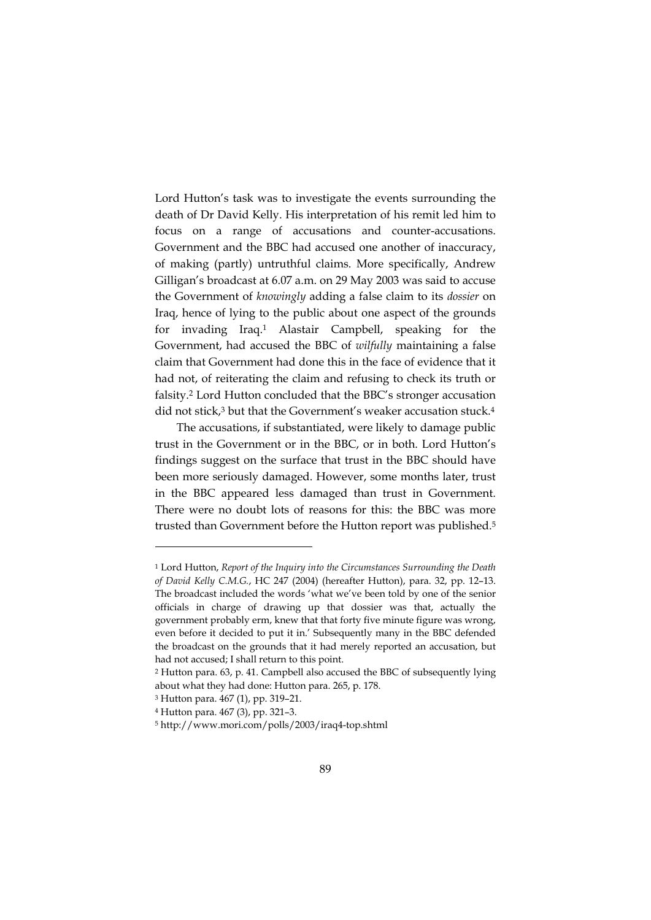Lord Hutton's task was to investigate the events surrounding the death of Dr David Kelly. His interpretation of his remit led him to focus on a range of accusations and counter-accusations. Government and the BBC had accused one another of inaccuracy, of making (partly) untruthful claims. More specifically, Andrew Gilligan's broadcast at 6.07 a.m. on 29 May 2003 was said to accuse the Government of *knowingly* adding a false claim to its *dossier* on Iraq, hence of lying to the public about one aspect of the grounds for invading Iraq.1 Alastair Campbell, speaking for the Government, had accused the BBC of *wilfully* maintaining a false claim that Government had done this in the face of evidence that it had not, of reiterating the claim and refusing to check its truth or falsity.2 Lord Hutton concluded that the BBC's stronger accusation did not stick,<sup>3</sup> but that the Government's weaker accusation stuck.<sup>4</sup>

The accusations, if substantiated, were likely to damage public trust in the Government or in the BBC, or in both. Lord Hutton's findings suggest on the surface that trust in the BBC should have been more seriously damaged. However, some months later, trust in the BBC appeared less damaged than trust in Government. There were no doubt lots of reasons for this: the BBC was more trusted than Government before the Hutton report was published.5

<sup>1</sup> Lord Hutton, *Report of the Inquiry into the Circumstances Surrounding the Death of David Kelly C.M.G.*, HC 247 (2004) (hereafter Hutton), para. 32, pp. 12–13. The broadcast included the words 'what we've been told by one of the senior officials in charge of drawing up that dossier was that, actually the government probably erm, knew that that forty five minute figure was wrong, even before it decided to put it in.' Subsequently many in the BBC defended the broadcast on the grounds that it had merely reported an accusation, but had not accused; I shall return to this point.

<sup>2</sup> Hutton para. 63, p. 41. Campbell also accused the BBC of subsequently lying about what they had done: Hutton para. 265, p. 178.

<sup>3</sup> Hutton para. 467 (1), pp. 319–21.

<sup>4</sup> Hutton para. 467 (3), pp. 321–3.

<sup>5</sup> http://www.mori.com/polls/2003/iraq4-top.shtml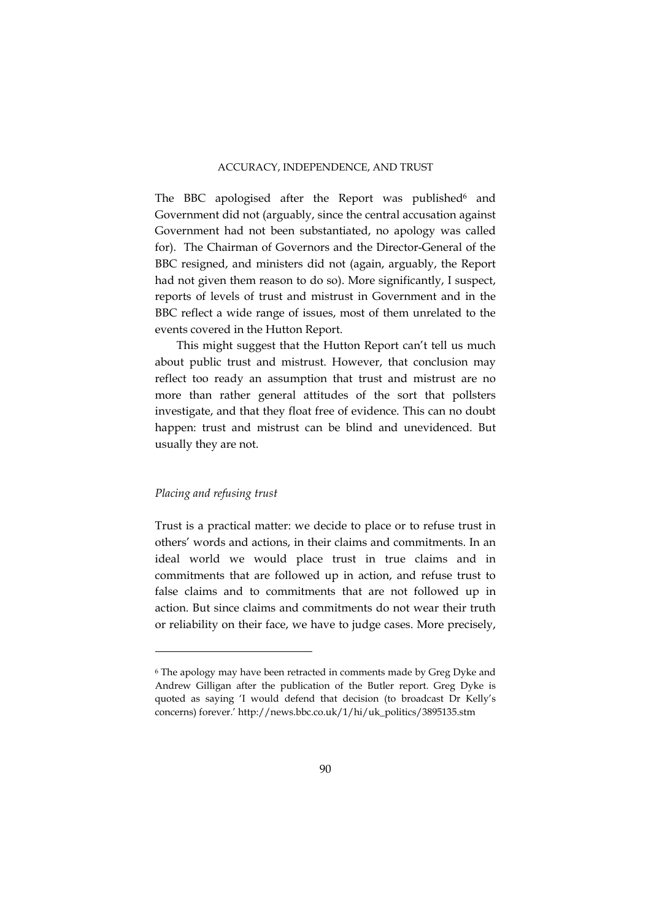The BBC apologised after the Report was published and Government did not (arguably, since the central accusation against Government had not been substantiated, no apology was called for). The Chairman of Governors and the Director-General of the BBC resigned, and ministers did not (again, arguably, the Report had not given them reason to do so). More significantly, I suspect, reports of levels of trust and mistrust in Government and in the BBC reflect a wide range of issues, most of them unrelated to the events covered in the Hutton Report.

This might suggest that the Hutton Report can't tell us much about public trust and mistrust. However, that conclusion may reflect too ready an assumption that trust and mistrust are no more than rather general attitudes of the sort that pollsters investigate, and that they float free of evidence. This can no doubt happen: trust and mistrust can be blind and unevidenced. But usually they are not.

#### *Placing and refusing trust*

1

Trust is a practical matter: we decide to place or to refuse trust in others' words and actions, in their claims and commitments. In an ideal world we would place trust in true claims and in commitments that are followed up in action, and refuse trust to false claims and to commitments that are not followed up in action. But since claims and commitments do not wear their truth or reliability on their face, we have to judge cases. More precisely,

<sup>6</sup> The apology may have been retracted in comments made by Greg Dyke and Andrew Gilligan after the publication of the Butler report. Greg Dyke is quoted as saying 'I would defend that decision (to broadcast Dr Kelly's concerns) forever.' http://news.bbc.co.uk/1/hi/uk\_politics/3895135.stm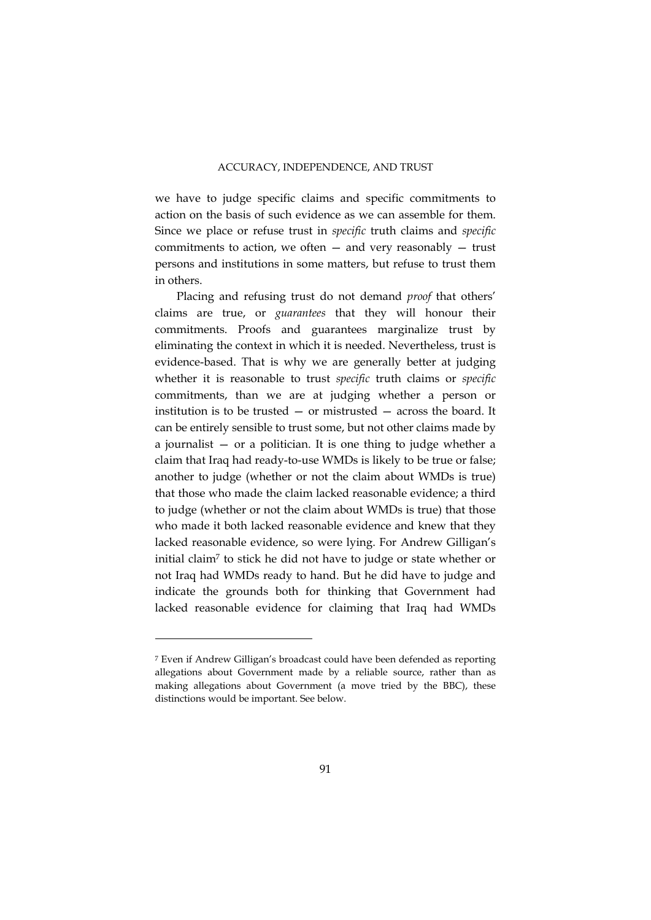we have to judge specific claims and specific commitments to action on the basis of such evidence as we can assemble for them. Since we place or refuse trust in *specific* truth claims and *specific* commitments to action, we often  $-$  and very reasonably  $-$  trust persons and institutions in some matters, but refuse to trust them in others.

 Placing and refusing trust do not demand *proof* that others' claims are true, or *guarantees* that they will honour their commitments. Proofs and guarantees marginalize trust by eliminating the context in which it is needed. Nevertheless, trust is evidence-based. That is why we are generally better at judging whether it is reasonable to trust *specific* truth claims or *specific* commitments, than we are at judging whether a person or institution is to be trusted — or mistrusted — across the board. It can be entirely sensible to trust some, but not other claims made by a journalist — or a politician. It is one thing to judge whether a claim that Iraq had ready-to-use WMDs is likely to be true or false; another to judge (whether or not the claim about WMDs is true) that those who made the claim lacked reasonable evidence; a third to judge (whether or not the claim about WMDs is true) that those who made it both lacked reasonable evidence and knew that they lacked reasonable evidence, so were lying. For Andrew Gilligan's initial claim7 to stick he did not have to judge or state whether or not Iraq had WMDs ready to hand. But he did have to judge and indicate the grounds both for thinking that Government had lacked reasonable evidence for claiming that Iraq had WMDs

<sup>7</sup> Even if Andrew Gilligan's broadcast could have been defended as reporting allegations about Government made by a reliable source, rather than as making allegations about Government (a move tried by the BBC), these distinctions would be important. See below.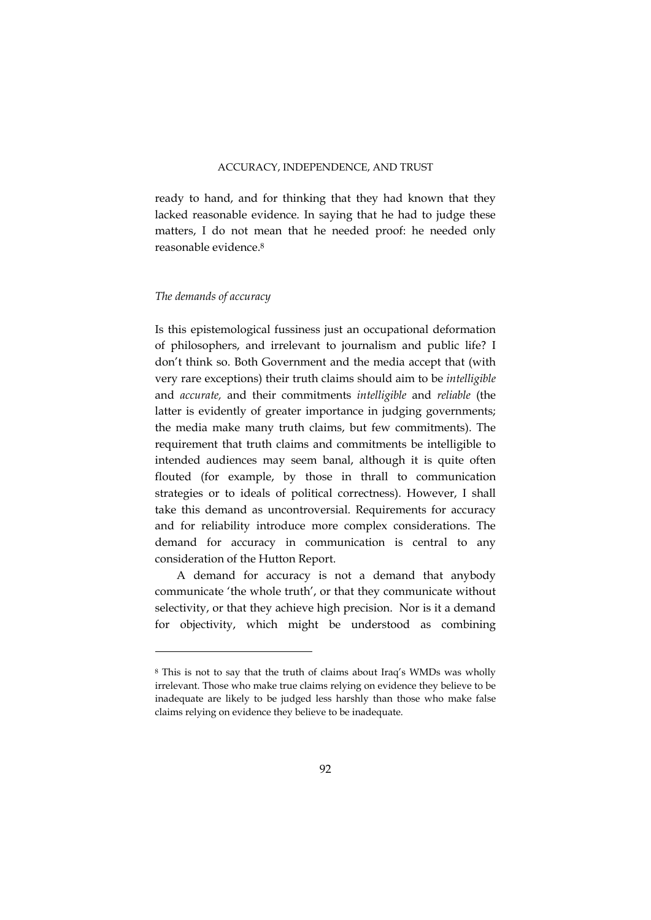ready to hand, and for thinking that they had known that they lacked reasonable evidence. In saying that he had to judge these matters, I do not mean that he needed proof: he needed only reasonable evidence.8

#### *The demands of accuracy*

1

Is this epistemological fussiness just an occupational deformation of philosophers, and irrelevant to journalism and public life? I don't think so. Both Government and the media accept that (with very rare exceptions) their truth claims should aim to be *intelligible* and *accurate,* and their commitments *intelligible* and *reliable* (the latter is evidently of greater importance in judging governments; the media make many truth claims, but few commitments). The requirement that truth claims and commitments be intelligible to intended audiences may seem banal, although it is quite often flouted (for example, by those in thrall to communication strategies or to ideals of political correctness). However, I shall take this demand as uncontroversial. Requirements for accuracy and for reliability introduce more complex considerations. The demand for accuracy in communication is central to any consideration of the Hutton Report.

 A demand for accuracy is not a demand that anybody communicate 'the whole truth', or that they communicate without selectivity, or that they achieve high precision. Nor is it a demand for objectivity, which might be understood as combining

<sup>8</sup> This is not to say that the truth of claims about Iraq's WMDs was wholly irrelevant. Those who make true claims relying on evidence they believe to be inadequate are likely to be judged less harshly than those who make false claims relying on evidence they believe to be inadequate.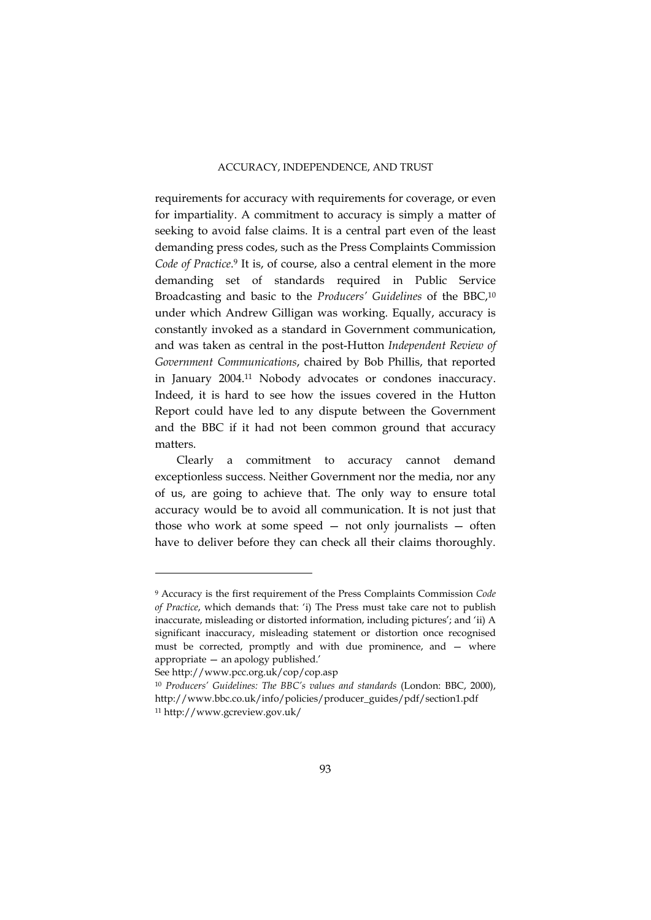requirements for accuracy with requirements for coverage, or even for impartiality. A commitment to accuracy is simply a matter of seeking to avoid false claims. It is a central part even of the least demanding press codes, such as the Press Complaints Commission *Code of Practice*.9 It is, of course, also a central element in the more demanding set of standards required in Public Service Broadcasting and basic to the *Producers' Guidelines* of the BBC,10 under which Andrew Gilligan was working. Equally, accuracy is constantly invoked as a standard in Government communication, and was taken as central in the post-Hutton *Independent Review of Government Communications*, chaired by Bob Phillis, that reported in January 2004.11 Nobody advocates or condones inaccuracy. Indeed, it is hard to see how the issues covered in the Hutton Report could have led to any dispute between the Government and the BBC if it had not been common ground that accuracy matters.

 Clearly a commitment to accuracy cannot demand exceptionless success. Neither Government nor the media, nor any of us, are going to achieve that. The only way to ensure total accuracy would be to avoid all communication. It is not just that those who work at some speed  $-$  not only journalists  $-$  often have to deliver before they can check all their claims thoroughly.

<sup>9</sup> Accuracy is the first requirement of the Press Complaints Commission *Code of Practice*, which demands that: 'i) The Press must take care not to publish inaccurate, misleading or distorted information, including pictures'; and 'ii) A significant inaccuracy, misleading statement or distortion once recognised must be corrected, promptly and with due prominence, and — where appropriate — an apology published.'

See http://www.pcc.org.uk/cop/cop.asp

<sup>10</sup> *Producers' Guidelines: The BBC's values and standards* (London: BBC, 2000), http://www.bbc.co.uk/info/policies/producer\_guides/pdf/section1.pdf 11 http://www.gcreview.gov.uk/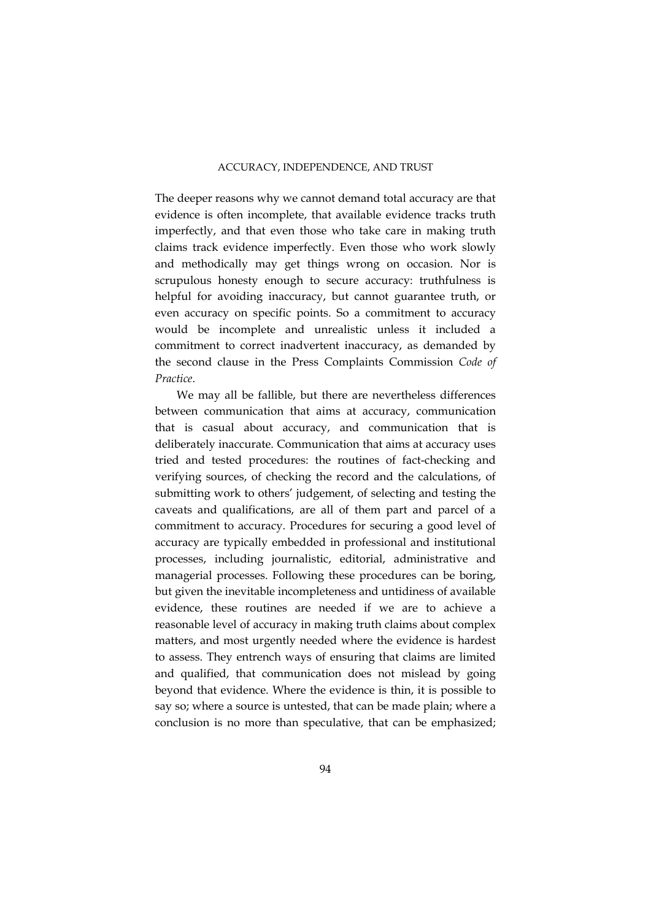The deeper reasons why we cannot demand total accuracy are that evidence is often incomplete, that available evidence tracks truth imperfectly, and that even those who take care in making truth claims track evidence imperfectly. Even those who work slowly and methodically may get things wrong on occasion. Nor is scrupulous honesty enough to secure accuracy: truthfulness is helpful for avoiding inaccuracy, but cannot guarantee truth, or even accuracy on specific points. So a commitment to accuracy would be incomplete and unrealistic unless it included a commitment to correct inadvertent inaccuracy, as demanded by the second clause in the Press Complaints Commission *Code of Practice*.

 We may all be fallible, but there are nevertheless differences between communication that aims at accuracy, communication that is casual about accuracy, and communication that is deliberately inaccurate. Communication that aims at accuracy uses tried and tested procedures: the routines of fact-checking and verifying sources, of checking the record and the calculations, of submitting work to others' judgement, of selecting and testing the caveats and qualifications, are all of them part and parcel of a commitment to accuracy. Procedures for securing a good level of accuracy are typically embedded in professional and institutional processes, including journalistic, editorial, administrative and managerial processes. Following these procedures can be boring, but given the inevitable incompleteness and untidiness of available evidence, these routines are needed if we are to achieve a reasonable level of accuracy in making truth claims about complex matters, and most urgently needed where the evidence is hardest to assess. They entrench ways of ensuring that claims are limited and qualified, that communication does not mislead by going beyond that evidence. Where the evidence is thin, it is possible to say so; where a source is untested, that can be made plain; where a conclusion is no more than speculative, that can be emphasized;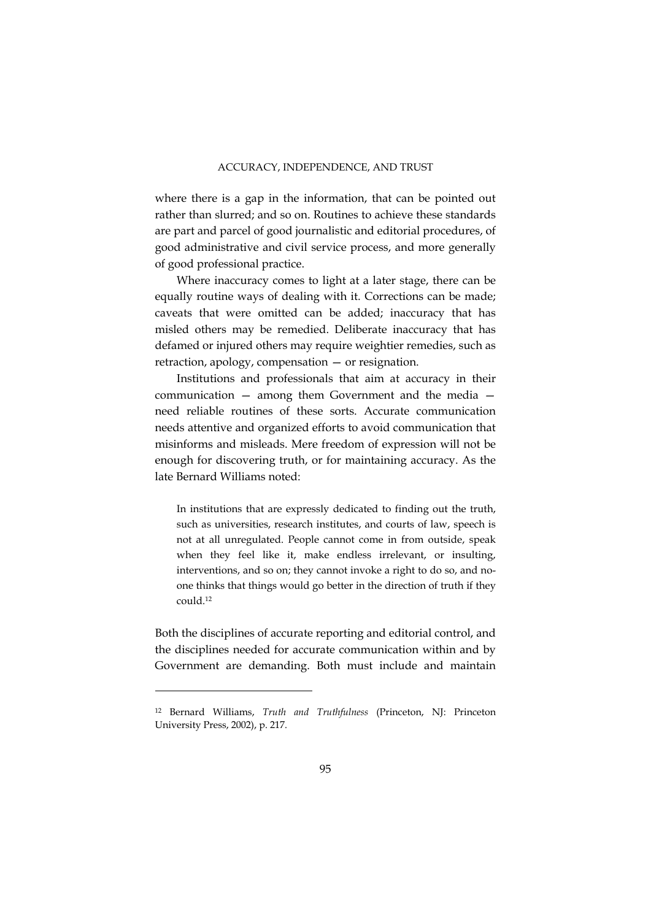where there is a gap in the information, that can be pointed out rather than slurred; and so on. Routines to achieve these standards are part and parcel of good journalistic and editorial procedures, of good administrative and civil service process, and more generally of good professional practice.

 Where inaccuracy comes to light at a later stage, there can be equally routine ways of dealing with it. Corrections can be made; caveats that were omitted can be added; inaccuracy that has misled others may be remedied. Deliberate inaccuracy that has defamed or injured others may require weightier remedies, such as retraction, apology, compensation — or resignation.

 Institutions and professionals that aim at accuracy in their communication — among them Government and the media need reliable routines of these sorts. Accurate communication needs attentive and organized efforts to avoid communication that misinforms and misleads. Mere freedom of expression will not be enough for discovering truth, or for maintaining accuracy. As the late Bernard Williams noted:

In institutions that are expressly dedicated to finding out the truth, such as universities, research institutes, and courts of law, speech is not at all unregulated. People cannot come in from outside, speak when they feel like it, make endless irrelevant, or insulting, interventions, and so on; they cannot invoke a right to do so, and noone thinks that things would go better in the direction of truth if they could.12

Both the disciplines of accurate reporting and editorial control, and the disciplines needed for accurate communication within and by Government are demanding. Both must include and maintain

<sup>12</sup> Bernard Williams, *Truth and Truthfulness* (Princeton, NJ: Princeton University Press, 2002), p. 217.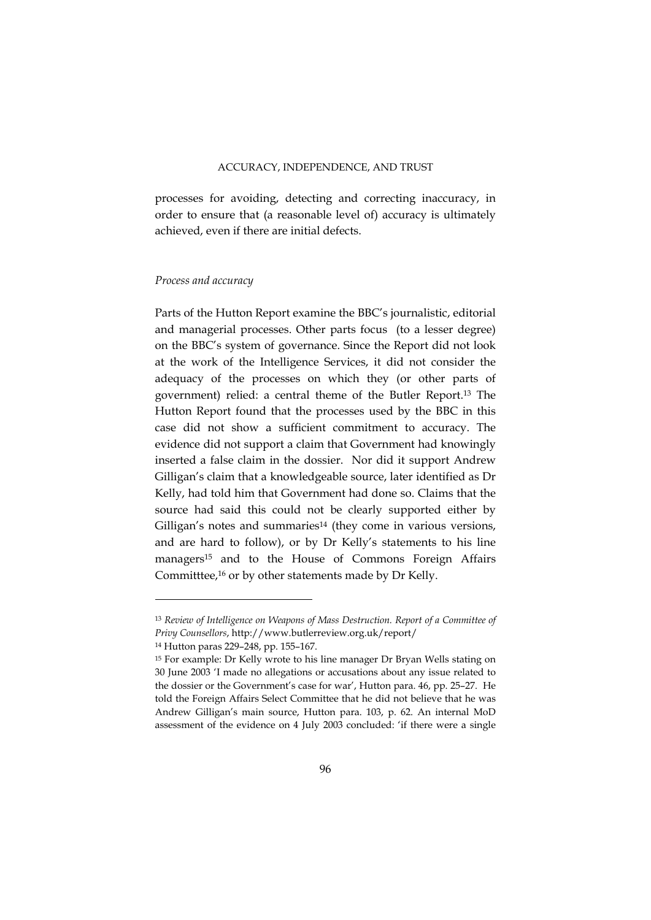processes for avoiding, detecting and correcting inaccuracy, in order to ensure that (a reasonable level of) accuracy is ultimately achieved, even if there are initial defects.

#### *Process and accuracy*

Parts of the Hutton Report examine the BBC's journalistic, editorial and managerial processes. Other parts focus (to a lesser degree) on the BBC's system of governance. Since the Report did not look at the work of the Intelligence Services, it did not consider the adequacy of the processes on which they (or other parts of government) relied: a central theme of the Butler Report.13 The Hutton Report found that the processes used by the BBC in this case did not show a sufficient commitment to accuracy. The evidence did not support a claim that Government had knowingly inserted a false claim in the dossier. Nor did it support Andrew Gilligan's claim that a knowledgeable source, later identified as Dr Kelly, had told him that Government had done so. Claims that the source had said this could not be clearly supported either by Gilligan's notes and summaries<sup>14</sup> (they come in various versions, and are hard to follow), or by Dr Kelly's statements to his line managers15 and to the House of Commons Foreign Affairs Committtee,16 or by other statements made by Dr Kelly.

<sup>13</sup> *Review of Intelligence on Weapons of Mass Destruction. Report of a Committee of Privy Counsellors*, http://www.butlerreview.org.uk/report/

<sup>14</sup> Hutton paras 229–248, pp. 155–167.

<sup>15</sup> For example: Dr Kelly wrote to his line manager Dr Bryan Wells stating on 30 June 2003 'I made no allegations or accusations about any issue related to the dossier or the Government's case for war', Hutton para. 46, pp. 25–27. He told the Foreign Affairs Select Committee that he did not believe that he was Andrew Gilligan's main source, Hutton para. 103, p. 62. An internal MoD assessment of the evidence on 4 July 2003 concluded: 'if there were a single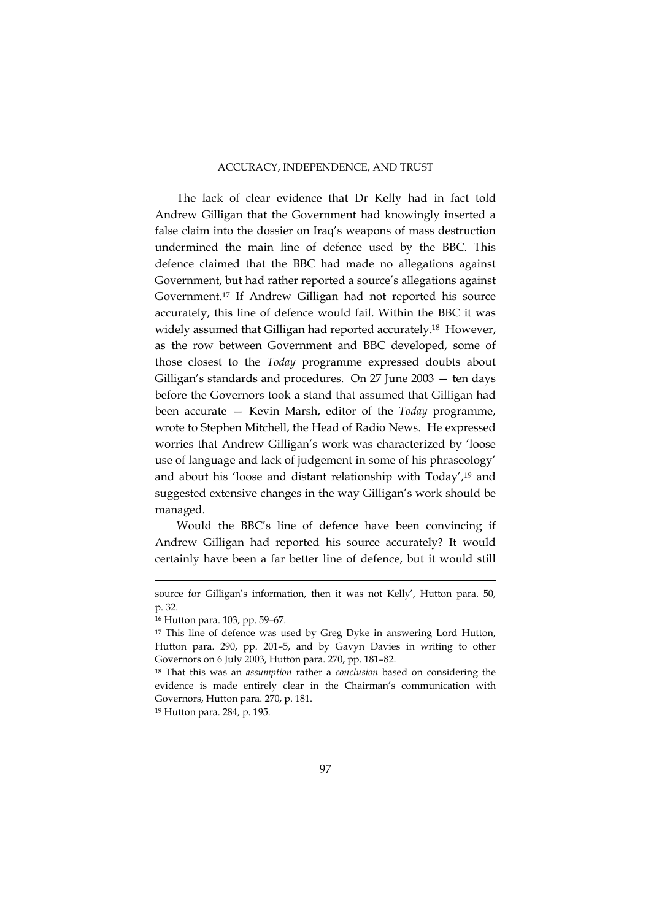The lack of clear evidence that Dr Kelly had in fact told Andrew Gilligan that the Government had knowingly inserted a false claim into the dossier on Iraq's weapons of mass destruction undermined the main line of defence used by the BBC. This defence claimed that the BBC had made no allegations against Government, but had rather reported a source's allegations against Government.17 If Andrew Gilligan had not reported his source accurately, this line of defence would fail. Within the BBC it was widely assumed that Gilligan had reported accurately.18 However, as the row between Government and BBC developed, some of those closest to the *Today* programme expressed doubts about Gilligan's standards and procedures. On 27 June 2003 — ten days before the Governors took a stand that assumed that Gilligan had been accurate — Kevin Marsh, editor of the *Today* programme, wrote to Stephen Mitchell, the Head of Radio News. He expressed worries that Andrew Gilligan's work was characterized by 'loose use of language and lack of judgement in some of his phraseology' and about his 'loose and distant relationship with Today',19 and suggested extensive changes in the way Gilligan's work should be managed.

Would the BBC's line of defence have been convincing if Andrew Gilligan had reported his source accurately? It would certainly have been a far better line of defence, but it would still

<u>.</u>

source for Gilligan's information, then it was not Kelly', Hutton para. 50, p. 32.

<sup>16</sup> Hutton para. 103, pp. 59–67.

<sup>&</sup>lt;sup>17</sup> This line of defence was used by Greg Dyke in answering Lord Hutton, Hutton para. 290, pp. 201–5, and by Gavyn Davies in writing to other Governors on 6 July 2003, Hutton para. 270, pp. 181–82.

<sup>18</sup> That this was an *assumption* rather a *conclusion* based on considering the evidence is made entirely clear in the Chairman's communication with Governors, Hutton para. 270, p. 181.

<sup>19</sup> Hutton para. 284, p. 195.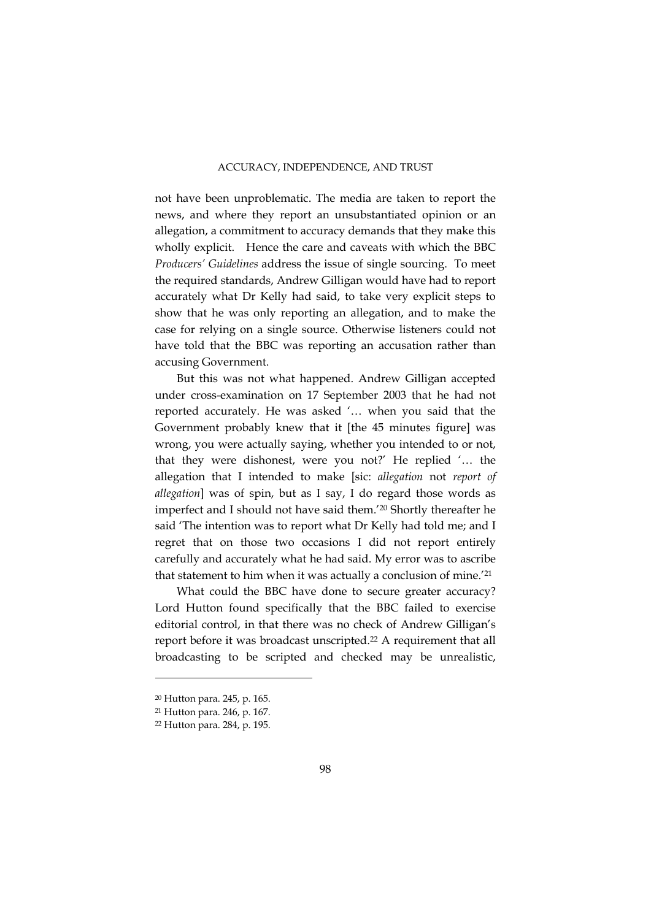not have been unproblematic. The media are taken to report the news, and where they report an unsubstantiated opinion or an allegation, a commitment to accuracy demands that they make this wholly explicit. Hence the care and caveats with which the BBC *Producers' Guidelines* address the issue of single sourcing. To meet the required standards, Andrew Gilligan would have had to report accurately what Dr Kelly had said, to take very explicit steps to show that he was only reporting an allegation, and to make the case for relying on a single source. Otherwise listeners could not have told that the BBC was reporting an accusation rather than accusing Government.

But this was not what happened. Andrew Gilligan accepted under cross-examination on 17 September 2003 that he had not reported accurately. He was asked '… when you said that the Government probably knew that it [the 45 minutes figure] was wrong, you were actually saying, whether you intended to or not, that they were dishonest, were you not?' He replied '… the allegation that I intended to make [sic: *allegation* not *report of allegation*] was of spin, but as I say, I do regard those words as imperfect and I should not have said them.'20 Shortly thereafter he said 'The intention was to report what Dr Kelly had told me; and I regret that on those two occasions I did not report entirely carefully and accurately what he had said. My error was to ascribe that statement to him when it was actually a conclusion of mine.'21

What could the BBC have done to secure greater accuracy? Lord Hutton found specifically that the BBC failed to exercise editorial control, in that there was no check of Andrew Gilligan's report before it was broadcast unscripted.22 A requirement that all broadcasting to be scripted and checked may be unrealistic,

<sup>20</sup> Hutton para. 245, p. 165.

<sup>21</sup> Hutton para. 246, p. 167.

<sup>22</sup> Hutton para. 284, p. 195.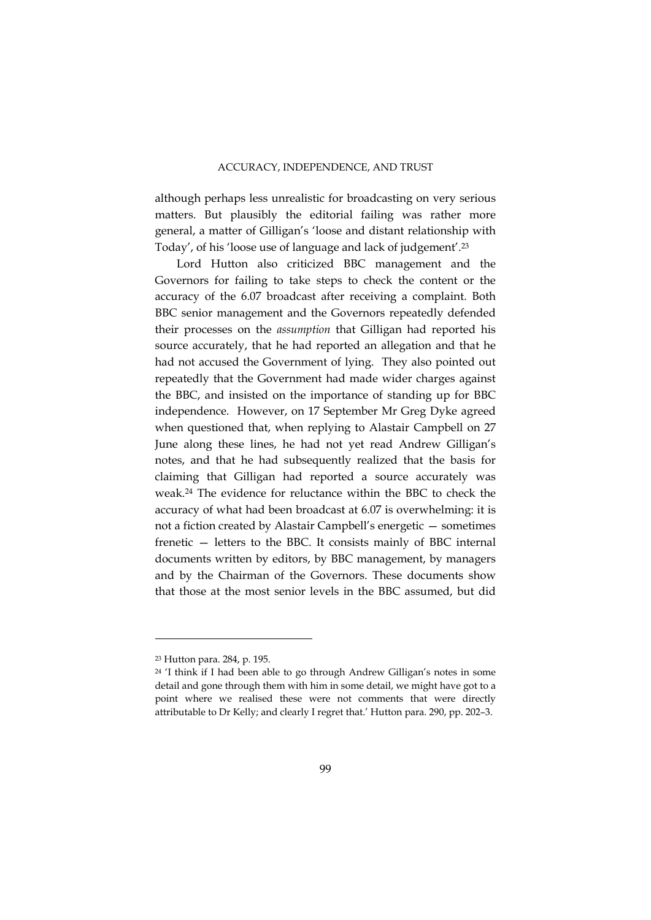although perhaps less unrealistic for broadcasting on very serious matters. But plausibly the editorial failing was rather more general, a matter of Gilligan's 'loose and distant relationship with Today', of his 'loose use of language and lack of judgement'.23

Lord Hutton also criticized BBC management and the Governors for failing to take steps to check the content or the accuracy of the 6.07 broadcast after receiving a complaint. Both BBC senior management and the Governors repeatedly defended their processes on the *assumption* that Gilligan had reported his source accurately, that he had reported an allegation and that he had not accused the Government of lying. They also pointed out repeatedly that the Government had made wider charges against the BBC, and insisted on the importance of standing up for BBC independence. However, on 17 September Mr Greg Dyke agreed when questioned that, when replying to Alastair Campbell on 27 June along these lines, he had not yet read Andrew Gilligan's notes, and that he had subsequently realized that the basis for claiming that Gilligan had reported a source accurately was weak.24 The evidence for reluctance within the BBC to check the accuracy of what had been broadcast at 6.07 is overwhelming: it is not a fiction created by Alastair Campbell's energetic — sometimes frenetic — letters to the BBC. It consists mainly of BBC internal documents written by editors, by BBC management, by managers and by the Chairman of the Governors. These documents show that those at the most senior levels in the BBC assumed, but did

<sup>23</sup> Hutton para. 284, p. 195.

<sup>&</sup>lt;sup>24</sup> 'I think if I had been able to go through Andrew Gilligan's notes in some detail and gone through them with him in some detail, we might have got to a point where we realised these were not comments that were directly attributable to Dr Kelly; and clearly I regret that.' Hutton para. 290, pp. 202–3.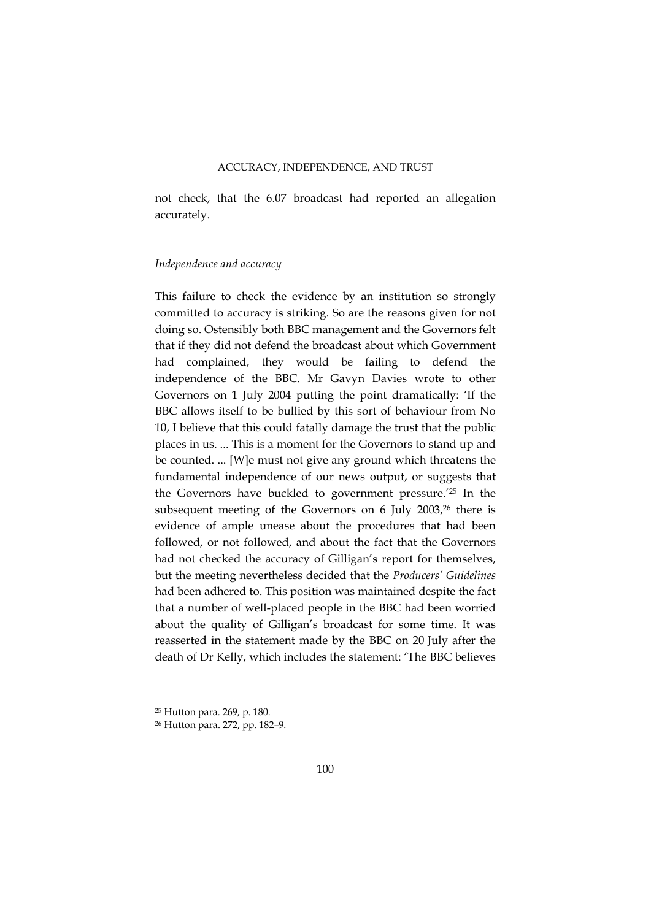not check, that the 6.07 broadcast had reported an allegation accurately.

### *Independence and accuracy*

This failure to check the evidence by an institution so strongly committed to accuracy is striking. So are the reasons given for not doing so. Ostensibly both BBC management and the Governors felt that if they did not defend the broadcast about which Government had complained, they would be failing to defend the independence of the BBC. Mr Gavyn Davies wrote to other Governors on 1 July 2004 putting the point dramatically: 'If the BBC allows itself to be bullied by this sort of behaviour from No 10, I believe that this could fatally damage the trust that the public places in us. ... This is a moment for the Governors to stand up and be counted. ... [W]e must not give any ground which threatens the fundamental independence of our news output, or suggests that the Governors have buckled to government pressure.'25 In the subsequent meeting of the Governors on 6 July 2003,<sup>26</sup> there is evidence of ample unease about the procedures that had been followed, or not followed, and about the fact that the Governors had not checked the accuracy of Gilligan's report for themselves, but the meeting nevertheless decided that the *Producers' Guidelines* had been adhered to. This position was maintained despite the fact that a number of well-placed people in the BBC had been worried about the quality of Gilligan's broadcast for some time. It was reasserted in the statement made by the BBC on 20 July after the death of Dr Kelly, which includes the statement: 'The BBC believes

<sup>25</sup> Hutton para. 269, p. 180.

<sup>26</sup> Hutton para. 272, pp. 182–9.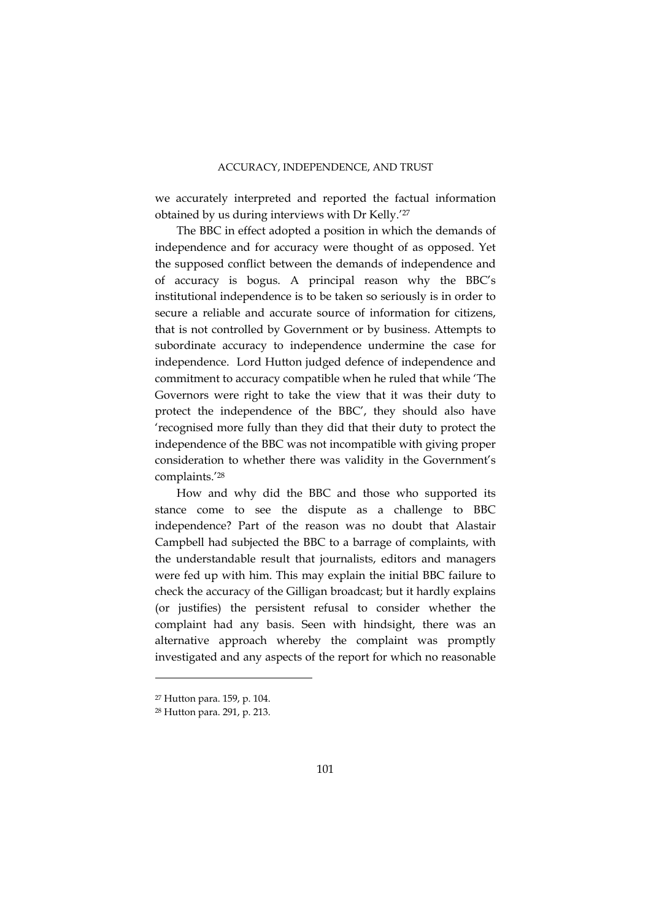we accurately interpreted and reported the factual information obtained by us during interviews with Dr Kelly.'27

The BBC in effect adopted a position in which the demands of independence and for accuracy were thought of as opposed. Yet the supposed conflict between the demands of independence and of accuracy is bogus. A principal reason why the BBC's institutional independence is to be taken so seriously is in order to secure a reliable and accurate source of information for citizens, that is not controlled by Government or by business. Attempts to subordinate accuracy to independence undermine the case for independence. Lord Hutton judged defence of independence and commitment to accuracy compatible when he ruled that while 'The Governors were right to take the view that it was their duty to protect the independence of the BBC', they should also have 'recognised more fully than they did that their duty to protect the independence of the BBC was not incompatible with giving proper consideration to whether there was validity in the Government's complaints.'28

How and why did the BBC and those who supported its stance come to see the dispute as a challenge to BBC independence? Part of the reason was no doubt that Alastair Campbell had subjected the BBC to a barrage of complaints, with the understandable result that journalists, editors and managers were fed up with him. This may explain the initial BBC failure to check the accuracy of the Gilligan broadcast; but it hardly explains (or justifies) the persistent refusal to consider whether the complaint had any basis. Seen with hindsight, there was an alternative approach whereby the complaint was promptly investigated and any aspects of the report for which no reasonable

<sup>27</sup> Hutton para. 159, p. 104.

<sup>28</sup> Hutton para. 291, p. 213.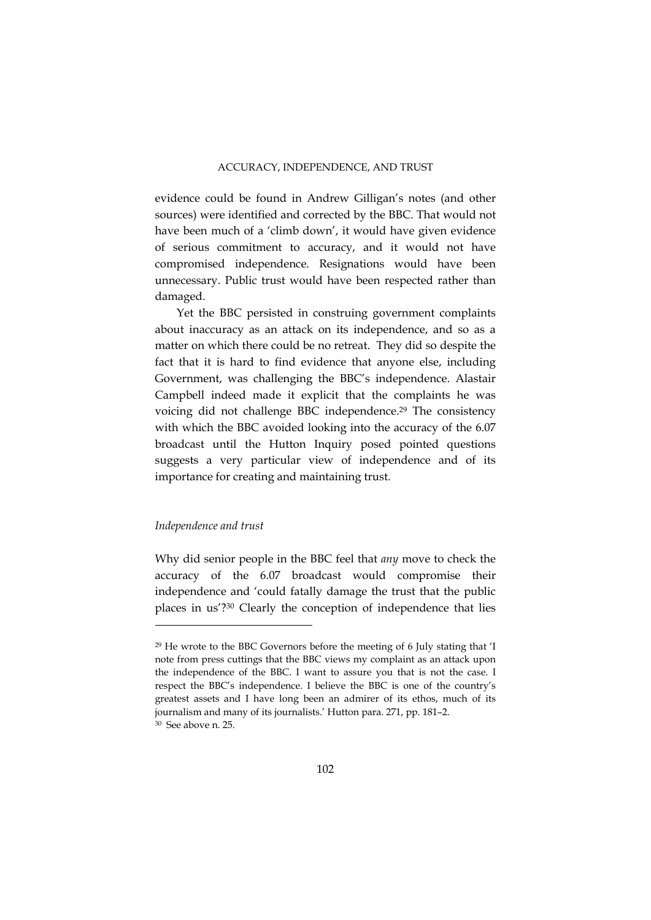evidence could be found in Andrew Gilligan's notes (and other sources) were identified and corrected by the BBC. That would not have been much of a 'climb down', it would have given evidence of serious commitment to accuracy, and it would not have compromised independence. Resignations would have been unnecessary. Public trust would have been respected rather than damaged.

Yet the BBC persisted in construing government complaints about inaccuracy as an attack on its independence, and so as a matter on which there could be no retreat. They did so despite the fact that it is hard to find evidence that anyone else, including Government, was challenging the BBC's independence. Alastair Campbell indeed made it explicit that the complaints he was voicing did not challenge BBC independence.29 The consistency with which the BBC avoided looking into the accuracy of the 6.07 broadcast until the Hutton Inquiry posed pointed questions suggests a very particular view of independence and of its importance for creating and maintaining trust.

#### *Independence and trust*

1

Why did senior people in the BBC feel that *any* move to check the accuracy of the 6.07 broadcast would compromise their independence and 'could fatally damage the trust that the public places in us'?30 Clearly the conception of independence that lies

<sup>29</sup> He wrote to the BBC Governors before the meeting of 6 July stating that 'I note from press cuttings that the BBC views my complaint as an attack upon the independence of the BBC. I want to assure you that is not the case. I respect the BBC's independence. I believe the BBC is one of the country's greatest assets and I have long been an admirer of its ethos, much of its journalism and many of its journalists.' Hutton para. 271, pp. 181–2. 30 See above n. 25.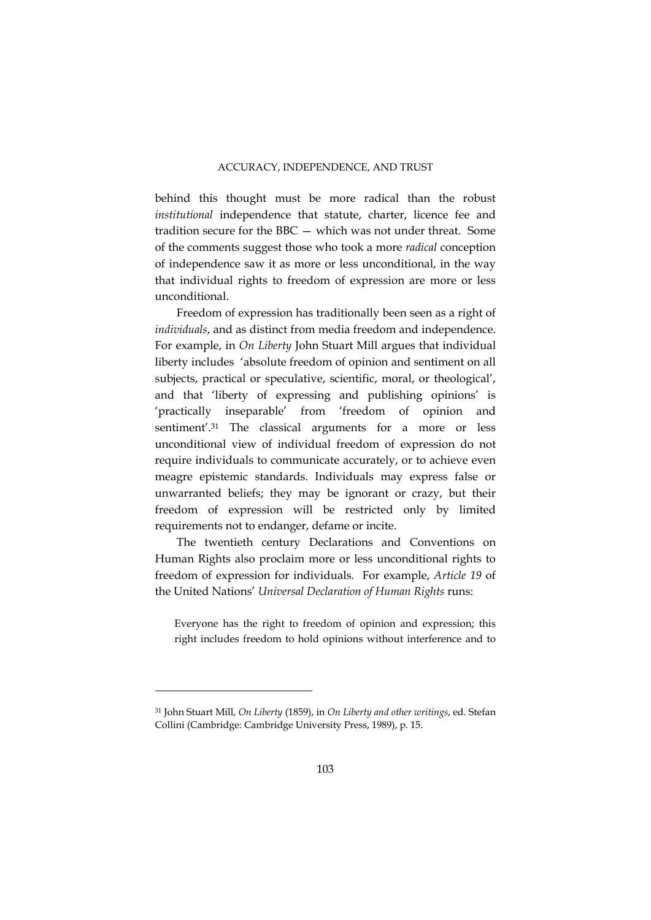behind this thought must be more radical than the robust *institutional* independence that statute, charter, licence fee and tradition secure for the BBC — which was not under threat. Some of the comments suggest those who took a more *radical* conception of independence saw it as more or less unconditional, in the way that individual rights to freedom of expression are more or less unconditional.

Freedom of expression has traditionally been seen as a right of *individuals*, and as distinct from media freedom and independence. For example, in *On Liberty* John Stuart Mill argues that individual liberty includes 'absolute freedom of opinion and sentiment on all subjects, practical or speculative, scientific, moral, or theological', and that 'liberty of expressing and publishing opinions' is 'practically inseparable' from 'freedom of opinion and sentiment'.<sup>31</sup> The classical arguments for a more or less unconditional view of individual freedom of expression do not require individuals to communicate accurately, or to achieve even meagre epistemic standards. Individuals may express false or unwarranted beliefs; they may be ignorant or crazy, but their freedom of expression will be restricted only by limited requirements not to endanger, defame or incite.

The twentieth century Declarations and Conventions on Human Rights also proclaim more or less unconditional rights to freedom of expression for individuals. For example, *Article 19* of the United Nations' *Universal Declaration of Human Rights* runs:

Everyone has the right to freedom of opinion and expression; this right includes freedom to hold opinions without interference and to

<sup>31</sup> John Stuart Mill, *On Liberty* (1859), in *On Liberty and other writings*, ed. Stefan Collini (Cambridge: Cambridge University Press, 1989), p. 15.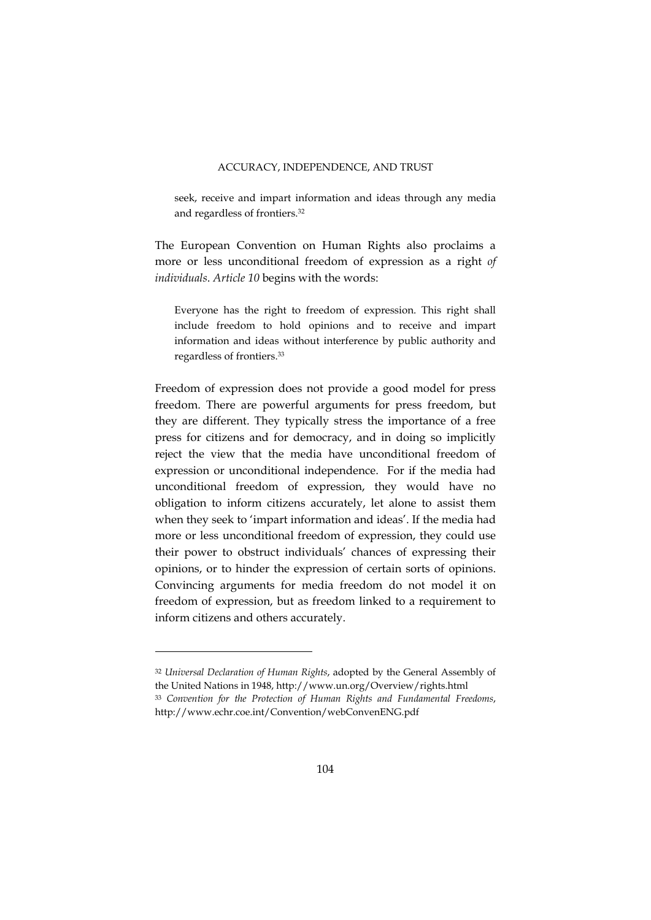seek, receive and impart information and ideas through any media and regardless of frontiers.32

The European Convention on Human Rights also proclaims a more or less unconditional freedom of expression as a right *of individuals*. *Article 10* begins with the words:

Everyone has the right to freedom of expression. This right shall include freedom to hold opinions and to receive and impart information and ideas without interference by public authority and regardless of frontiers.33

Freedom of expression does not provide a good model for press freedom. There are powerful arguments for press freedom, but they are different. They typically stress the importance of a free press for citizens and for democracy, and in doing so implicitly reject the view that the media have unconditional freedom of expression or unconditional independence. For if the media had unconditional freedom of expression, they would have no obligation to inform citizens accurately, let alone to assist them when they seek to 'impart information and ideas'. If the media had more or less unconditional freedom of expression, they could use their power to obstruct individuals' chances of expressing their opinions, or to hinder the expression of certain sorts of opinions. Convincing arguments for media freedom do not model it on freedom of expression, but as freedom linked to a requirement to inform citizens and others accurately.

<sup>32</sup> *Universal Declaration of Human Rights*, adopted by the General Assembly of the United Nations in 1948, http://www.un.org/Overview/rights.html

<sup>33</sup> *Convention for the Protection of Human Rights and Fundamental Freedoms*, http://www.echr.coe.int/Convention/webConvenENG.pdf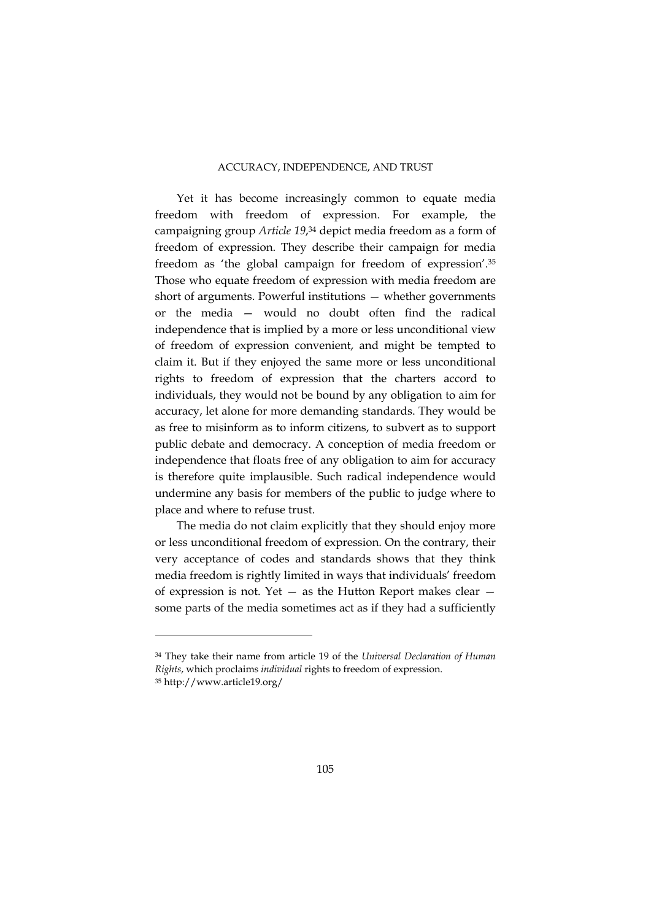Yet it has become increasingly common to equate media freedom with freedom of expression. For example, the campaigning group *Article 19*,34 depict media freedom as a form of freedom of expression. They describe their campaign for media freedom as 'the global campaign for freedom of expression'.35 Those who equate freedom of expression with media freedom are short of arguments. Powerful institutions — whether governments or the media — would no doubt often find the radical independence that is implied by a more or less unconditional view of freedom of expression convenient, and might be tempted to claim it. But if they enjoyed the same more or less unconditional rights to freedom of expression that the charters accord to individuals, they would not be bound by any obligation to aim for accuracy, let alone for more demanding standards. They would be as free to misinform as to inform citizens, to subvert as to support public debate and democracy. A conception of media freedom or independence that floats free of any obligation to aim for accuracy is therefore quite implausible. Such radical independence would undermine any basis for members of the public to judge where to place and where to refuse trust.

 The media do not claim explicitly that they should enjoy more or less unconditional freedom of expression. On the contrary, their very acceptance of codes and standards shows that they think media freedom is rightly limited in ways that individuals' freedom of expression is not. Yet — as the Hutton Report makes clear some parts of the media sometimes act as if they had a sufficiently

<sup>34</sup> They take their name from article 19 of the *Universal Declaration of Human Rights*, which proclaims *individual* rights to freedom of expression. 35 http://www.article19.org/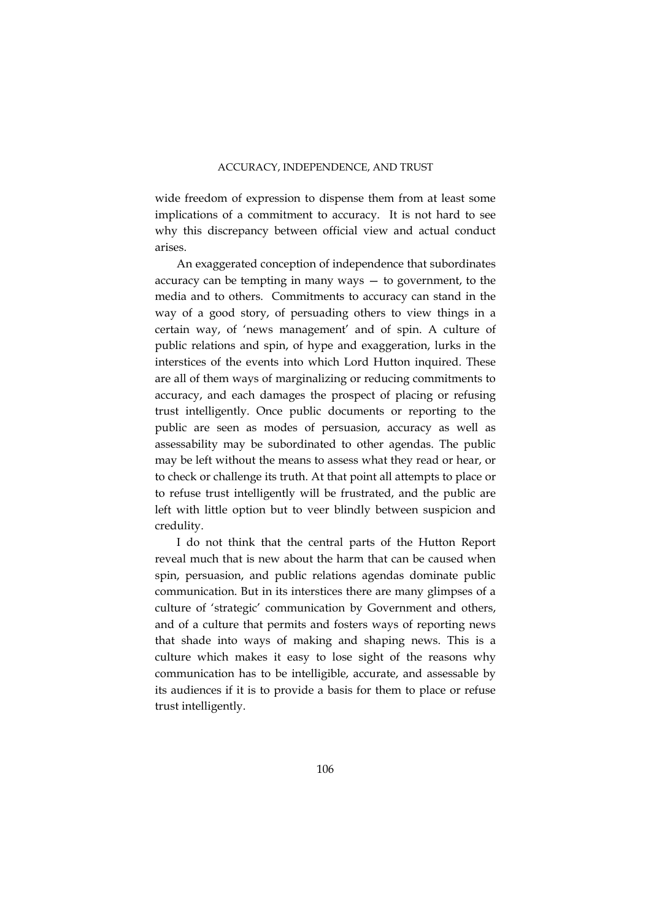wide freedom of expression to dispense them from at least some implications of a commitment to accuracy. It is not hard to see why this discrepancy between official view and actual conduct arises.

 An exaggerated conception of independence that subordinates accuracy can be tempting in many ways — to government, to the media and to others. Commitments to accuracy can stand in the way of a good story, of persuading others to view things in a certain way, of 'news management' and of spin. A culture of public relations and spin, of hype and exaggeration, lurks in the interstices of the events into which Lord Hutton inquired. These are all of them ways of marginalizing or reducing commitments to accuracy, and each damages the prospect of placing or refusing trust intelligently. Once public documents or reporting to the public are seen as modes of persuasion, accuracy as well as assessability may be subordinated to other agendas. The public may be left without the means to assess what they read or hear, or to check or challenge its truth. At that point all attempts to place or to refuse trust intelligently will be frustrated, and the public are left with little option but to veer blindly between suspicion and credulity.

 I do not think that the central parts of the Hutton Report reveal much that is new about the harm that can be caused when spin, persuasion, and public relations agendas dominate public communication. But in its interstices there are many glimpses of a culture of 'strategic' communication by Government and others, and of a culture that permits and fosters ways of reporting news that shade into ways of making and shaping news. This is a culture which makes it easy to lose sight of the reasons why communication has to be intelligible, accurate, and assessable by its audiences if it is to provide a basis for them to place or refuse trust intelligently.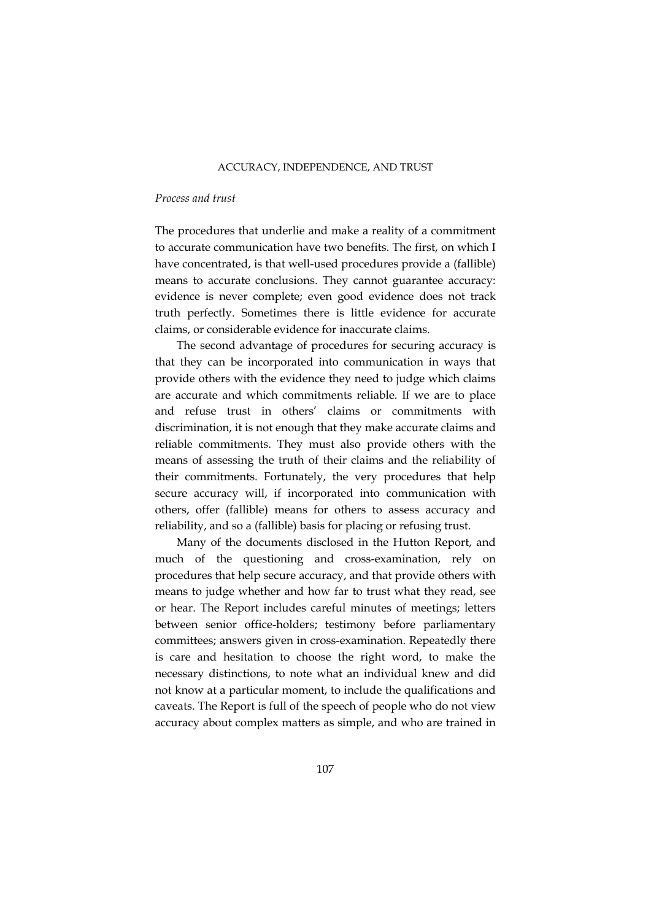#### *Process and trust*

The procedures that underlie and make a reality of a commitment to accurate communication have two benefits. The first, on which I have concentrated, is that well-used procedures provide a (fallible) means to accurate conclusions. They cannot guarantee accuracy: evidence is never complete; even good evidence does not track truth perfectly. Sometimes there is little evidence for accurate claims, or considerable evidence for inaccurate claims.

 The second advantage of procedures for securing accuracy is that they can be incorporated into communication in ways that provide others with the evidence they need to judge which claims are accurate and which commitments reliable. If we are to place and refuse trust in others' claims or commitments with discrimination, it is not enough that they make accurate claims and reliable commitments. They must also provide others with the means of assessing the truth of their claims and the reliability of their commitments. Fortunately, the very procedures that help secure accuracy will, if incorporated into communication with others, offer (fallible) means for others to assess accuracy and reliability, and so a (fallible) basis for placing or refusing trust.

 Many of the documents disclosed in the Hutton Report, and much of the questioning and cross-examination, rely on procedures that help secure accuracy, and that provide others with means to judge whether and how far to trust what they read, see or hear. The Report includes careful minutes of meetings; letters between senior office-holders; testimony before parliamentary committees; answers given in cross-examination. Repeatedly there is care and hesitation to choose the right word, to make the necessary distinctions, to note what an individual knew and did not know at a particular moment, to include the qualifications and caveats. The Report is full of the speech of people who do not view accuracy about complex matters as simple, and who are trained in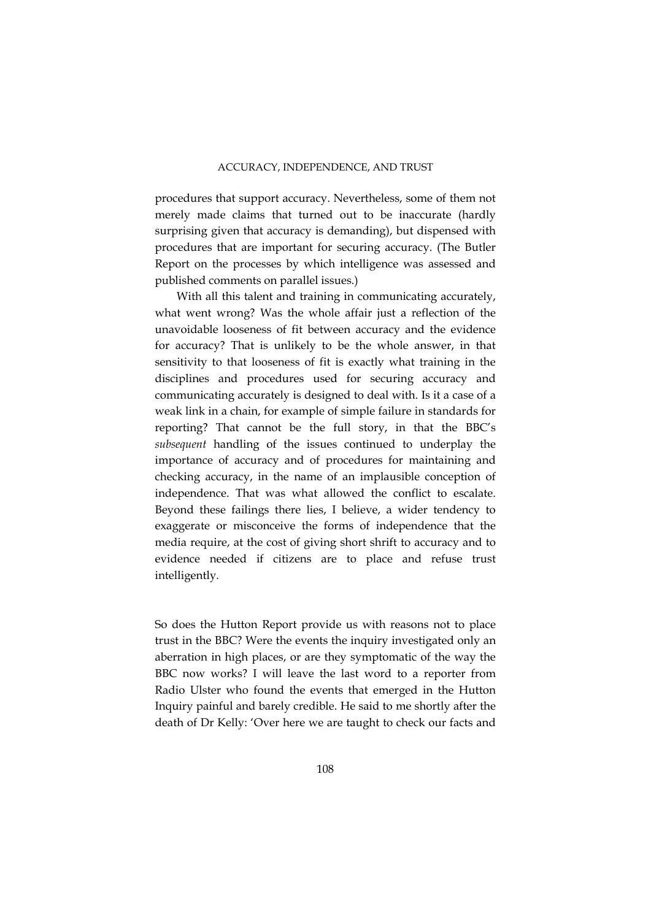procedures that support accuracy. Nevertheless, some of them not merely made claims that turned out to be inaccurate (hardly surprising given that accuracy is demanding), but dispensed with procedures that are important for securing accuracy. (The Butler Report on the processes by which intelligence was assessed and published comments on parallel issues.)

 With all this talent and training in communicating accurately, what went wrong? Was the whole affair just a reflection of the unavoidable looseness of fit between accuracy and the evidence for accuracy? That is unlikely to be the whole answer, in that sensitivity to that looseness of fit is exactly what training in the disciplines and procedures used for securing accuracy and communicating accurately is designed to deal with. Is it a case of a weak link in a chain, for example of simple failure in standards for reporting? That cannot be the full story, in that the BBC's *subsequent* handling of the issues continued to underplay the importance of accuracy and of procedures for maintaining and checking accuracy, in the name of an implausible conception of independence. That was what allowed the conflict to escalate. Beyond these failings there lies, I believe, a wider tendency to exaggerate or misconceive the forms of independence that the media require, at the cost of giving short shrift to accuracy and to evidence needed if citizens are to place and refuse trust intelligently.

So does the Hutton Report provide us with reasons not to place trust in the BBC? Were the events the inquiry investigated only an aberration in high places, or are they symptomatic of the way the BBC now works? I will leave the last word to a reporter from Radio Ulster who found the events that emerged in the Hutton Inquiry painful and barely credible. He said to me shortly after the death of Dr Kelly: 'Over here we are taught to check our facts and